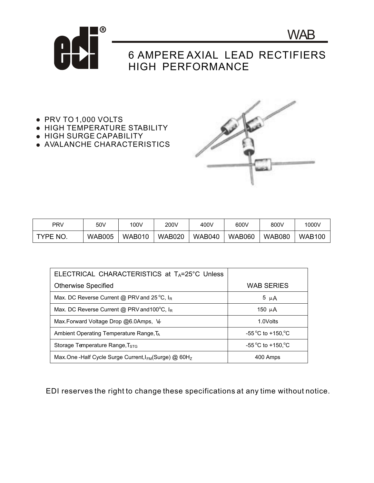

## 6 AMPERE AXIAL LEAD RECTIFIERS HIGH PERFORMANCE

- PRV TO 1,000 VOLTS
- **HIGH TEMPERATURE STABILITY**
- HIGH SURGE CAPABILITY
- AVALANCHE CHARACTERISTICS



**WAB** 

| PRV                | 50V           | 100V          | 200V          | 400V          | 600V          | 800V          | 1000V         |
|--------------------|---------------|---------------|---------------|---------------|---------------|---------------|---------------|
| <b>TYPE</b><br>NO. | <b>WAB005</b> | <b>WAB010</b> | <b>WAB020</b> | <b>WAB040</b> | <b>WAB060</b> | <b>WAB080</b> | <b>WAB100</b> |

| ELECTRICAL CHARACTERISTICS at $T_A = 25^\circ C$ Unless           |                             |  |  |
|-------------------------------------------------------------------|-----------------------------|--|--|
| <b>Otherwise Specified</b>                                        | <b>WAB SERIES</b>           |  |  |
| Max. DC Reverse Current @ PRV and 25 °C, IR                       | 5 $\mu$ A                   |  |  |
| Max. DC Reverse Current @ PRV and 100°C, IR                       | 150 $\mu$ A                 |  |  |
| Max. Forward Voltage Drop $@6.0$ Amps, $V_F$                      | 1.0Volts                    |  |  |
| Ambient Operating Temperature Range, T <sub>A</sub>               | $-55^{\circ}$ C to +150, °C |  |  |
| Storage Temperature Range, T <sub>STG</sub>                       | $-55^{\circ}$ C to +150, °C |  |  |
| Max.One -Half Cycle Surge Current, I <sub>FM</sub> (Surge) @ 60Hz | 400 Amps                    |  |  |

EDI reserves the right to change these specifications at any time without notice.